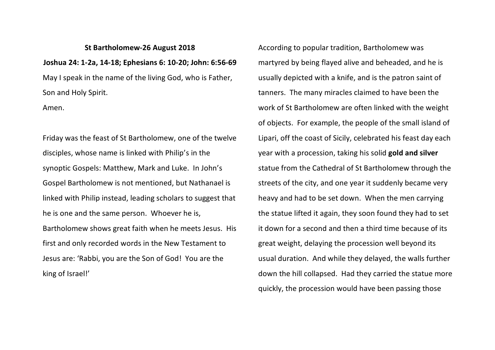## **St Bartholomew-26 August 2018 Joshua 24: 1-2a, 14-18; Ephesians 6: 10-20; John: 6:56-69** May I speak in the name of the living God, who is Father, Son and Holy Spirit.

Amen.

Friday was the feast of St Bartholomew, one of the twelve disciples, whose name is linked with Philip's in the synoptic Gospels: Matthew, Mark and Luke. In John's Gospel Bartholomew is not mentioned, but Nathanael is linked with Philip instead, leading scholars to suggest that he is one and the same person. Whoever he is, Bartholomew shows great faith when he meets Jesus. His first and only recorded words in the New Testament to Jesus are: 'Rabbi, you are the Son of God! You are the king of Israel!'

According to popular tradition, Bartholomew was martyred by being flayed alive and beheaded, and he is usually depicted with a knife, and is the patron saint of tanners. The many miracles claimed to have been the work of St Bartholomew are often linked with the weight of objects. For example, the people of the small island of Lipari, off the coast of Sicily, celebrated his feast day each year with a procession, taking his solid **gold and silver** statue from the Cathedral of St Bartholomew through the streets of the city, and one year it suddenly became very heavy and had to be set down. When the men carrying the statue lifted it again, they soon found they had to set it down for a second and then a third time because of its great weight, delaying the procession well beyond its usual duration. And while they delayed, the walls further down the hill collapsed. Had they carried the statue more quickly, the procession would have been passing those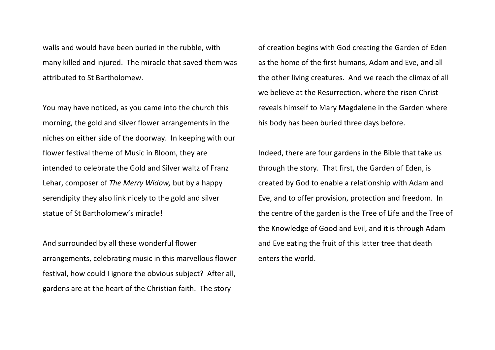walls and would have been buried in the rubble, with many killed and injured. The miracle that saved them was attributed to St Bartholomew.

You may have noticed, as you came into the church this morning, the gold and silver flower arrangements in the niches on either side of the doorway. In keeping with our flower festival theme of Music in Bloom, they are intended to celebrate the Gold and Silver waltz of Franz Lehar, composer of *The Merry Widow,* but by a happy serendipity they also link nicely to the gold and silver statue of St Bartholomew's miracle!

And surrounded by all these wonderful flower arrangements, celebrating music in this marvellous flower festival, how could I ignore the obvious subject? After all, gardens are at the heart of the Christian faith. The story

of creation begins with God creating the Garden of Eden as the home of the first humans, Adam and Eve, and all the other living creatures. And we reach the climax of all we believe at the Resurrection, where the risen Christ reveals himself to Mary Magdalene in the Garden where his body has been buried three days before.

Indeed, there are four gardens in the Bible that take us through the story. That first, the Garden of Eden, is created by God to enable a relationship with Adam and Eve, and to offer provision, protection and freedom. In the centre of the garden is the Tree of Life and the Tree of the Knowledge of Good and Evil, and it is through Adam and Eve eating the fruit of this latter tree that death enters the world.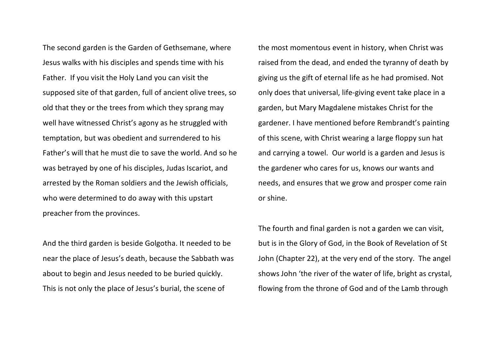The second garden is the Garden of Gethsemane, where Jesus walks with his disciples and spends time with his Father. If you visit the Holy Land you can visit the supposed site of that garden, full of ancient olive trees, so old that they or the trees from which they sprang may well have witnessed Christ's agony as he struggled with temptation, but was obedient and surrendered to his Father's will that he must die to save the world. And so he was betrayed by one of his disciples, Judas Iscariot, and arrested by the Roman soldiers and the Jewish officials, who were determined to do away with this upstart preacher from the provinces.

And the third garden is beside Golgotha. It needed to be near the place of Jesus's death, because the Sabbath was about to begin and Jesus needed to be buried quickly. This is not only the place of Jesus's burial, the scene of

the most momentous event in history, when Christ was raised from the dead, and ended the tyranny of death by giving us the gift of eternal life as he had promised. Not only does that universal, life-giving event take place in a garden, but Mary Magdalene mistakes Christ for the gardener. I have mentioned before Rembrandt's painting of this scene, with Christ wearing a large floppy sun hat and carrying a towel. Our world is a garden and Jesus is the gardener who cares for us, knows our wants and needs, and ensures that we grow and prosper come rain or shine.

The fourth and final garden is not a garden we can visit, but is in the Glory of God, in the Book of Revelation of St John (Chapter 22), at the very end of the story. The angel shows John 'the river of the water of life, bright as crystal, flowing from the throne of God and of the Lamb through